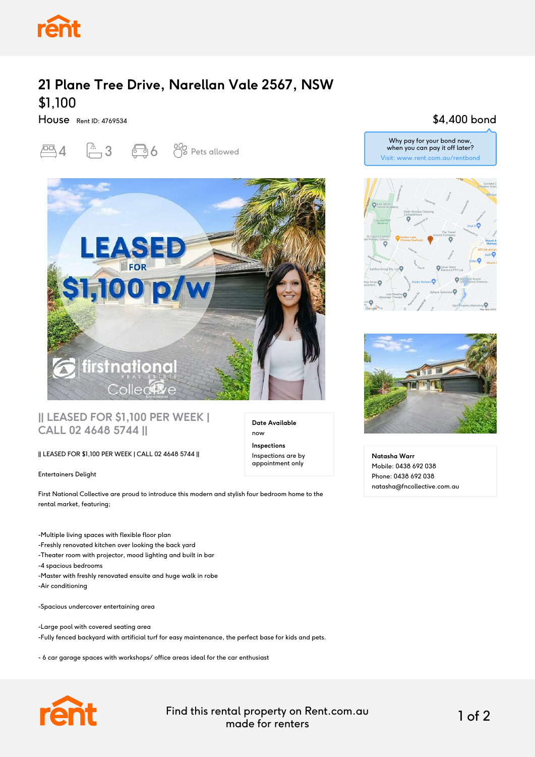

# **21 Plane Tree Drive, Narellan Vale 2567, NSW** \$1,100

House Rent ID: 4769534





#### **|| LEASED FOR \$1,100 PER WEEK | CALL 02 4648 5744 ||**

#### || LEASED FOR \$1,100 PER WEEK | CALL 02 4648 5744 ||

Entertainers Delight

First National Collective are proud to introduce this modern and stylish four bedroom home to the rental market, featuring;

-Multiple living spaces with flexible floor plan -Freshly renovated kitchen over looking the back yard -Theater room with projector, mood lighting and built in bar -4 spacious bedrooms -Master with freshly renovated ensuite and huge walk in robe -Air conditioning

-Spacious undercover entertaining area

-Large pool with covered seating area -Fully fenced backyard with artificial turf for easy maintenance, the perfect base for kids and pets.

- 6 car garage spaces with workshops/ office areas ideal for the car enthusiast



Find this rental property on Rent.com.au made for renters 1 of 2

**Date Available**

now **Inspections** Inspections are by appointment only

### \$4,400 bond







**Natasha Warr** Mobile: 0438 692 038 Phone: 0438 692 038 natasha@fncollective.com.au